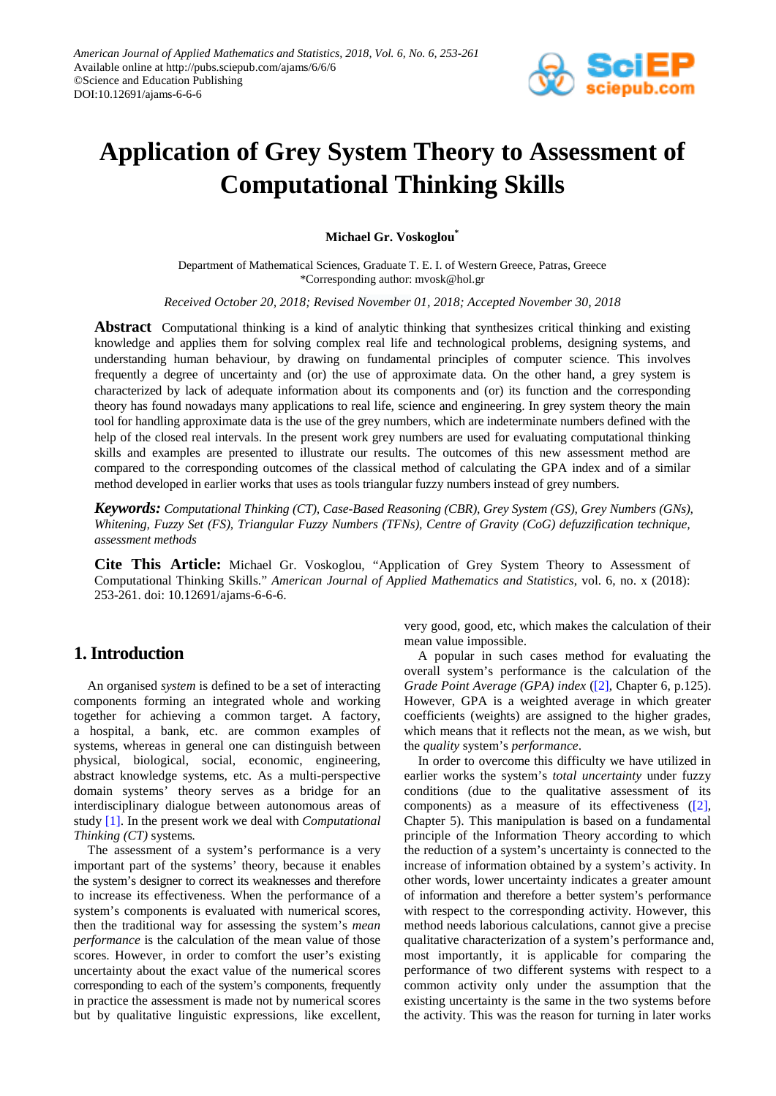

# **Application of Grey System Theory to Assessment of Computational Thinking Skills**

**Michael Gr. Voskoglou\***

Department of Mathematical Sciences, Graduate T. E. I. of Western Greece, Patras, Greece \*Corresponding author[: mvosk@hol.gr](mailto:mvosk@hol.gr)

*Received October 20, 2018; Revised November 01, 2018; Accepted November 30, 2018*

**Abstract** Computational thinking is a kind of analytic thinking that synthesizes critical thinking and existing knowledge and applies them for solving complex real life and technological problems, designing systems, and understanding human behaviour, by drawing on fundamental principles of computer science. This involves frequently a degree of uncertainty and (or) the use of approximate data. On the other hand, a grey system is characterized by lack of adequate information about its components and (or) its function and the corresponding theory has found nowadays many applications to real life, science and engineering. In grey system theory the main tool for handling approximate data is the use of the grey numbers, which are indeterminate numbers defined with the help of the closed real intervals. In the present work grey numbers are used for evaluating computational thinking skills and examples are presented to illustrate our results. The outcomes of this new assessment method are compared to the corresponding outcomes of the classical method of calculating the GPA index and of a similar method developed in earlier works that uses as tools triangular fuzzy numbers instead of grey numbers.

*Keywords: Computational Thinking (CT), Case-Based Reasoning (CBR), Grey System (GS), Grey Numbers (GNs), Whitening, Fuzzy Set (FS), Triangular Fuzzy Numbers (TFNs), Centre of Gravity (CoG) defuzzification technique, assessment methods*

**Cite This Article:** Michael Gr. Voskoglou, "Application of Grey System Theory to Assessment of Computational Thinking Skills." *American Journal of Applied Mathematics and Statistics*, vol. 6, no. x (2018): 253-261. doi: 10.12691/ajams-6-6-6.

# **1. Introduction**

An organised *system* is defined to be a set of interacting components forming an integrated whole and working together for achieving a common target. A factory, a hospital, a bank, etc. are common examples of systems, whereas in general one can distinguish between physical, biological, social, economic, engineering, abstract knowledge systems, etc. As a multi-perspective domain systems' theory serves as a bridge for an interdisciplinary dialogue between autonomous areas of study [\[1\].](#page-7-0) In the present work we deal with *Computational Thinking (CT)* systems*.*

The assessment of a system's performance is a very important part of the systems' theory, because it enables the system's designer to correct its weaknesses and therefore to increase its effectiveness. When the performance of a system's components is evaluated with numerical scores, then the traditional way for assessing the system's *mean performance* is the calculation of the mean value of those scores. However, in order to comfort the user's existing uncertainty about the exact value of the numerical scores corresponding to each of the system's components, frequently in practice the assessment is made not by numerical scores but by qualitative linguistic expressions, like excellent,

very good, good, etc, which makes the calculation of their mean value impossible.

A popular in such cases method for evaluating the overall system's performance is the calculation of the *Grade Point Average (GPA) index* [\(\[2\],](#page-7-1) Chapter 6, p.125). However, GPA is a weighted average in which greater coefficients (weights) are assigned to the higher grades, which means that it reflects not the mean, as we wish, but the *quality* system's *performance*.

In order to overcome this difficulty we have utilized in earlier works the system's *total uncertainty* under fuzzy conditions (due to the qualitative assessment of its components) as a measure of its effectiveness  $(2)$ , Chapter 5). This manipulation is based on a fundamental principle of the Information Theory according to which the reduction of a system's uncertainty is connected to the increase of information obtained by a system's activity. In other words, lower uncertainty indicates a greater amount of information and therefore a better system's performance with respect to the corresponding activity. However, this method needs laborious calculations, cannot give a precise qualitative characterization of a system's performance and, most importantly, it is applicable for comparing the performance of two different systems with respect to a common activity only under the assumption that the existing uncertainty is the same in the two systems before the activity. This was the reason for turning in later works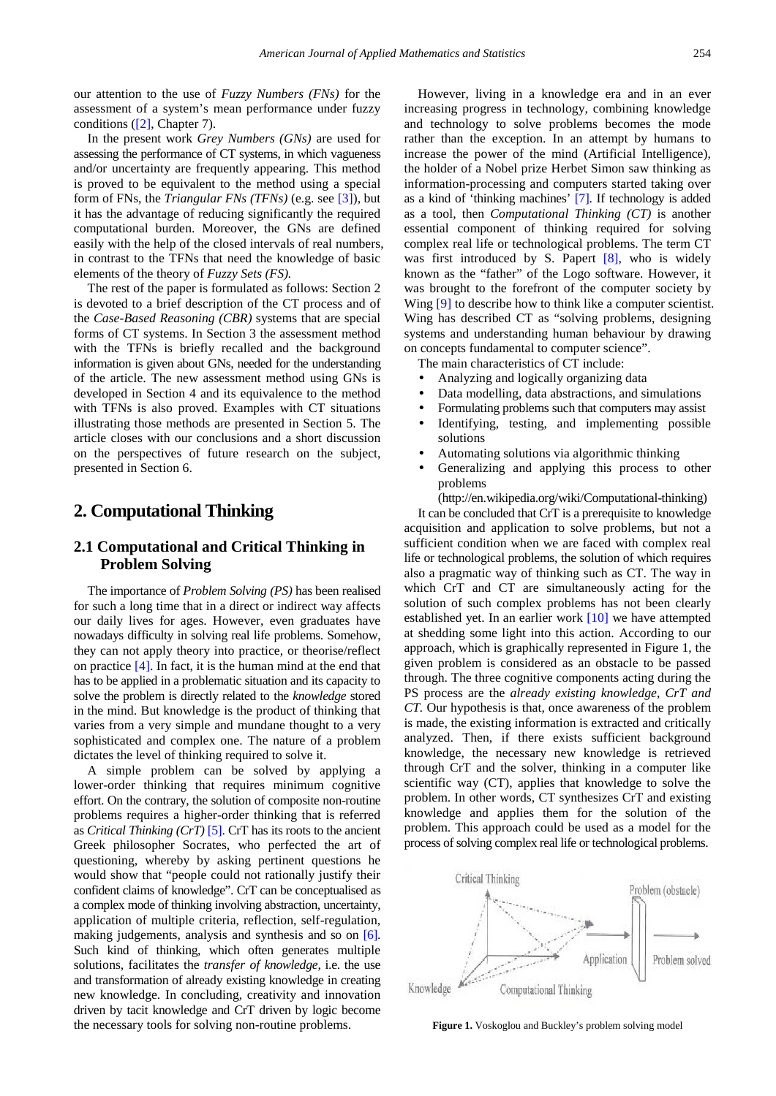our attention to the use of *Fuzzy Numbers (FNs)* for the assessment of a system's mean performance under fuzzy conditions [\(\[2\],](#page-7-1) Chapter 7).

In the present work *Grey Numbers (GNs)* are used for assessing the performance of CT systems, in which vagueness and/or uncertainty are frequently appearing. This method is proved to be equivalent to the method using a special form of FNs, the *Triangular FNs (TFNs)* (e.g. see [\[3\]\)](#page-7-2), but it has the advantage of reducing significantly the required computational burden. Moreover, the GNs are defined easily with the help of the closed intervals of real numbers, in contrast to the TFNs that need the knowledge of basic elements of the theory of *Fuzzy Sets (FS).*

The rest of the paper is formulated as follows: Section 2 is devoted to a brief description of the CT process and of the *Case-Based Reasoning (CBR)* systems that are special forms of CT systems. In Section 3 the assessment method with the TFNs is briefly recalled and the background information is given about GNs, needed for the understanding of the article. The new assessment method using GNs is developed in Section 4 and its equivalence to the method with TFNs is also proved. Examples with CT situations illustrating those methods are presented in Section 5. The article closes with our conclusions and a short discussion on the perspectives of future research on the subject, presented in Section 6.

## **2. Computational Thinking**

## **2.1 Computational and Critical Thinking in Problem Solving**

The importance of *Problem Solving (PS)* has been realised for such a long time that in a direct or indirect way affects our daily lives for ages. However, even graduates have nowadays difficulty in solving real life problems. Somehow, they can not apply theory into practice, or theorise/reflect on practice [\[4\].](#page-7-3) In fact, it is the human mind at the end that has to be applied in a problematic situation and its capacity to solve the problem is directly related to the *knowledge* stored in the mind. But knowledge is the product of thinking that varies from a very simple and mundane thought to a very sophisticated and complex one. The nature of a problem dictates the level of thinking required to solve it.

A simple problem can be solved by applying a lower-order thinking that requires minimum cognitive effort. On the contrary, the solution of composite non-routine problems requires a higher-order thinking that is referred as *Critical Thinking (CrT)* [\[5\].](#page-7-4) CrT has its roots to the ancient Greek philosopher Socrates, who perfected the art of questioning, whereby by asking pertinent questions he would show that "people could not rationally justify their confident claims of knowledge". CrT can be conceptualised as a complex mode of thinking involving abstraction, uncertainty, application of multiple criteria, reflection, self-regulation, making judgements, analysis and synthesis and so on [\[6\].](#page-7-5) Such kind of thinking, which often generates multiple solutions, facilitates the *transfer of knowledge*, i.e. the use and transformation of already existing knowledge in creating new knowledge. In concluding, creativity and innovation driven by tacit knowledge and CrT driven by logic become the necessary tools for solving non-routine problems.

However, living in a knowledge era and in an ever increasing progress in technology, combining knowledge and technology to solve problems becomes the mode rather than the exception. In an attempt by humans to increase the power of the mind (Artificial Intelligence), the holder of a Nobel prize Herbet Simon saw thinking as information-processing and computers started taking over as a kind of 'thinking machines' [\[7\].](#page-7-6) If technology is added as a tool, then *Computational Thinking (CT)* is another essential component of thinking required for solving complex real life or technological problems. The term CT was first introduced by S. Papert [\[8\],](#page-7-7) who is widely known as the "father" of the Logo software. However, it was brought to the forefront of the computer society by Wing [\[9\]](#page-7-8) to describe how to think like a computer scientist. Wing has described CT as "solving problems, designing systems and understanding human behaviour by drawing on concepts fundamental to computer science".

The main characteristics of CT include:

- Analyzing and logically organizing data
- Data modelling, data abstractions, and simulations
- Formulating problems such that computers may assist
- Identifying, testing, and implementing possible solutions
- Automating solutions via algorithmic thinking
- Generalizing and applying this process to other problems

(http://en.wikipedia.org/wiki/Computational-thinking)

It can be concluded that CrT is a prerequisite to knowledge acquisition and application to solve problems, but not a sufficient condition when we are faced with complex real life or technological problems, the solution of which requires also a pragmatic way of thinking such as CT. The way in which CrT and CT are simultaneously acting for the solution of such complex problems has not been clearly established yet. In an earlier work [\[10\]](#page-7-9) we have attempted at shedding some light into this action. According to our approach, which is graphically represented in Figure 1, the given problem is considered as an obstacle to be passed through. The three cognitive components acting during the PS process are the *already existing knowledge, CrT and CT.* Our hypothesis is that, once awareness of the problem is made, the existing information is extracted and critically analyzed. Then, if there exists sufficient background knowledge, the necessary new knowledge is retrieved through CrT and the solver, thinking in a computer like scientific way (CT), applies that knowledge to solve the problem. In other words, CT synthesizes CrT and existing knowledge and applies them for the solution of the problem. This approach could be used as a model for the process of solving complex real life or technological problems.



**Figure 1.** Voskoglou and Buckley's problem solving model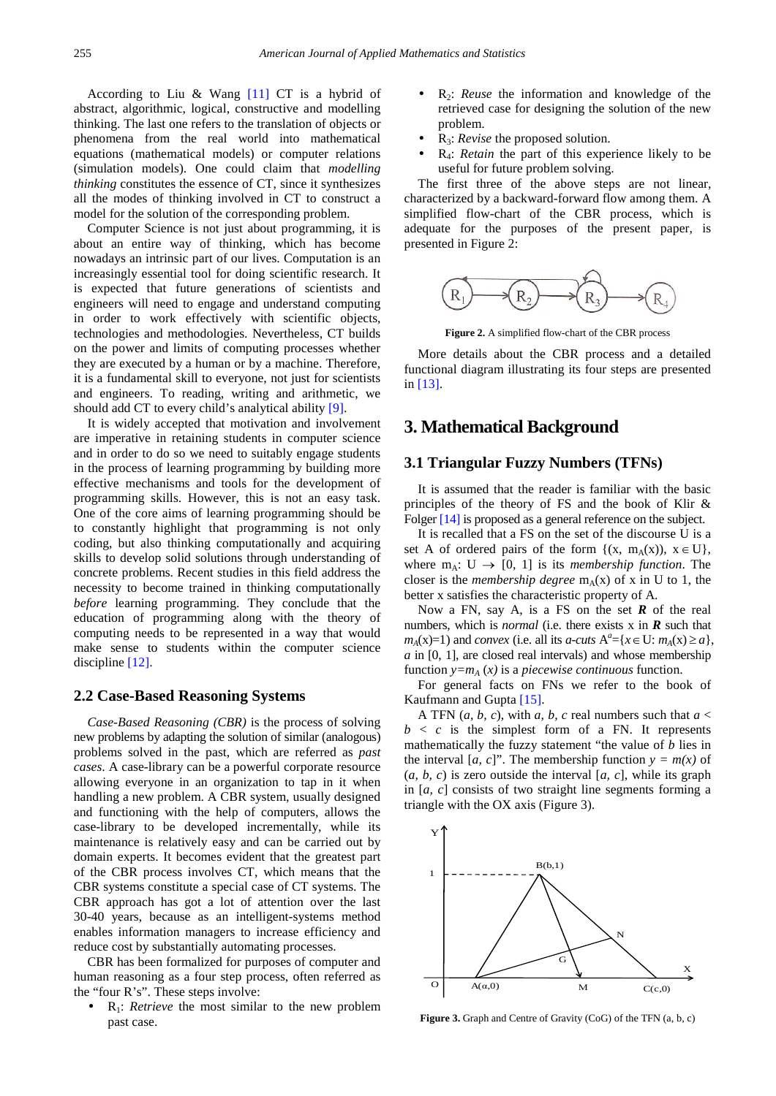According to Liu & Wang [\[11\]](#page-7-10) CT is a hybrid of abstract, algorithmic, logical, constructive and modelling thinking. The last one refers to the translation of objects or phenomena from the real world into mathematical equations (mathematical models) or computer relations (simulation models). One could claim that *modelling thinking* constitutes the essence of CT, since it synthesizes all the modes of thinking involved in CT to construct a model for the solution of the corresponding problem.

Computer Science is not just about programming, it is about an entire way of thinking, which has become nowadays an intrinsic part of our lives. Computation is an increasingly essential tool for doing scientific research. It is expected that future generations of scientists and engineers will need to engage and understand computing in order to work effectively with scientific objects, technologies and methodologies. Nevertheless, CT builds on the power and limits of computing processes whether they are executed by a human or by a machine. Therefore, it is a fundamental skill to everyone, not just for scientists and engineers. To reading, writing and arithmetic, we should add CT to every child's analytical ability [\[9\].](#page-7-8)

It is widely accepted that motivation and involvement are imperative in retaining students in computer science and in order to do so we need to suitably engage students in the process of learning programming by building more effective mechanisms and tools for the development of programming skills. However, this is not an easy task. One of the core aims of learning programming should be to constantly highlight that programming is not only coding, but also thinking computationally and acquiring skills to develop solid solutions through understanding of concrete problems. Recent studies in this field address the necessity to become trained in thinking computationally *before* learning programming. They conclude that the education of programming along with the theory of computing needs to be represented in a way that would make sense to students within the computer science discipline [\[12\].](#page-7-11)

## **2.2 Case-Based Reasoning Systems**

*Case-Based Reasoning (CBR)* is the process of solving new problems by adapting the solution of similar (analogous) problems solved in the past, which are referred as *past cases*. A case-library can be a powerful corporate resource allowing everyone in an organization to tap in it when handling a new problem. A CBR system*,* usually designed and functioning with the help of computers, allows the case-library to be developed incrementally, while its maintenance is relatively easy and can be carried out by domain experts. It becomes evident that the greatest part of the CBR process involves CT, which means that the CBR systems constitute a special case of CT systems. The CBR approach has got a lot of attention over the last 30-40 years, because as an intelligent-systems method enables information managers to increase efficiency and reduce cost by substantially automating processes.

CBR has been formalized for purposes of computer and human reasoning as a four step process, often referred as the "four R's". These steps involve:

• R<sub>1</sub>: *Retrieve* the most similar to the new problem past case.

- R<sub>2</sub>: *Reuse* the information and knowledge of the retrieved case for designing the solution of the new problem.
- R3: *Revise* the proposed solution.
- R4: *Retain* the part of this experience likely to be useful for future problem solving.

The first three of the above steps are not linear, characterized by a backward-forward flow among them. A simplified flow-chart of the CBR process, which is adequate for the purposes of the present paper, is presented in Figure 2:



**Figure 2.** A simplified flow-chart of the CBR process

More details about the CBR process and a detailed functional diagram illustrating its four steps are presented in [\[13\].](#page-7-12)

## **3. Mathematical Background**

## **3.1 Triangular Fuzzy Numbers (TFNs)**

It is assumed that the reader is familiar with the basic principles of the theory of FS and the book of Klir & Folge[r \[14\]](#page-7-13) is proposed as a general reference on the subject.

It is recalled that a FS on the set of the discourse U is a set A of ordered pairs of the form  $\{(x, m_A(x)), x \in U\}$ , where  $m_A: U \rightarrow [0, 1]$  is its *membership function*. The closer is the *membership degree*  $m_A(x)$  of x in U to 1, the better x satisfies the characteristic property of A.

Now a FN, say A, is a FS on the set *R* of the real numbers, which is *normal* (i.e. there exists x in *R* such that *m*<sub>*A*</sub>(**x**)=1) and *convex* (i.e. all its *a-cuts*  $A^a$ ={*x* ∈ U: *m<sub>A</sub>*(**x**)≥*a*}, *a* in [0, 1], are closed real intervals) and whose membership function  $y=m_A(x)$  is a *piecewise continuous* function.

For general facts on FNs we refer to the book of Kaufmann and Gupta [\[15\].](#page-7-14)

A TFN  $(a, b, c)$ , with  $a, b, c$  real numbers such that  $a <$  $b < c$  is the simplest form of a FN. It represents mathematically the fuzzy statement "the value of *b* lies in the interval  $[a, c]$ ". The membership function  $y = m(x)$  of  $(a, b, c)$  is zero outside the interval  $[a, c]$ , while its graph in [*a, c*] consists of two straight line segments forming a triangle with the OX axis (Figure 3).



**Figure 3.** Graph and Centre of Gravity (CoG) of the TFN (a, b, c)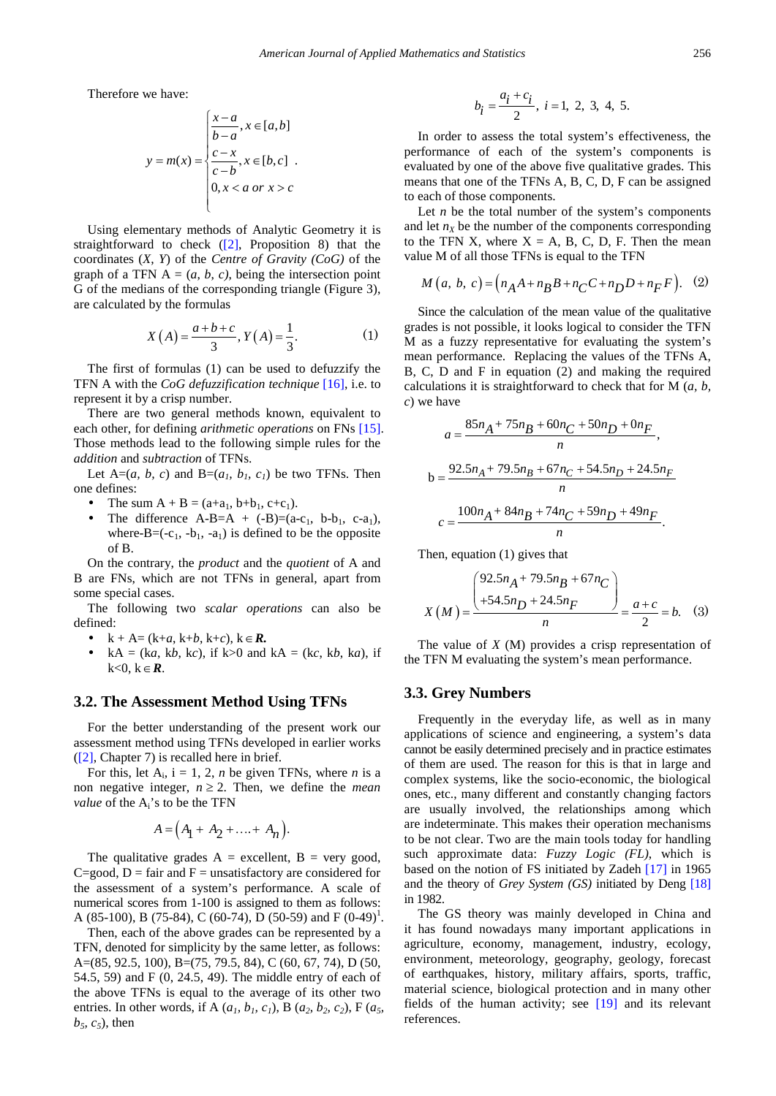Therefore we have:

$$
y = m(x) = \begin{cases} \frac{x-a}{b-a}, x \in [a,b] \\ \frac{c-x}{c-b}, x \in [b,c] \\ 0, x < a \text{ or } x > c \end{cases}
$$

Using elementary methods of Analytic Geometry it is straightforward to check  $(2)$ , Proposition 8) that the coordinates (*X*, *Y*) of the *Centre of Gravity (CoG)* of the graph of a TFN  $A = (a, b, c)$ , being the intersection point G of the medians of the corresponding triangle (Figure 3), are calculated by the formulas

$$
X(A) = \frac{a+b+c}{3}, Y(A) = \frac{1}{3}.
$$
 (1)

The first of formulas (1) can be used to defuzzify the TFN A with the *CoG defuzzification technique* [\[16\],](#page-7-15) i.e. to represent it by a crisp number.

There are two general methods known, equivalent to each other, for defining *arithmetic operations* on FNs [\[15\].](#page-7-14) Those methods lead to the following simple rules for the *addition* and *subtraction* of TFNs.

Let  $A=(a, b, c)$  and  $B=(a<sub>1</sub>, b<sub>1</sub>, c<sub>1</sub>)$  be two TFNs. Then one defines:

- The sum  $A + B = (a+a_1, b+b_1, c+c_1)$ .
- The difference  $A-B=A + (-B)=(a-c_1, b-b_1, c-a_1)$ , where- $B=(-c_1, -b_1, -a_1)$  is defined to be the opposite of B.

On the contrary, the *product* and the *quotient* of A and B are FNs, which are not TFNs in general, apart from some special cases.

The following two *scalar operations* can also be defined:

- $k + A = (k+a, k+b, k+c), k \in \mathbb{R}$ .
- $kA = (ka, kb, kc)$ , if  $k>0$  and  $kA = (kc, kb, ka)$ , if k<0, k∈*R*.

#### **3.2. The Assessment Method Using TFNs**

For the better understanding of the present work our assessment method using TFNs developed in earlier works [\(\[2\],](#page-7-1) Chapter 7) is recalled here in brief.

For this, let  $A_i$ ,  $i = 1, 2, n$  be given TFNs, where *n* is a non negative integer,  $n \geq 2$ . Then, we define the *mean value* of the  $A_i$ 's to be the TFN

$$
A = \left(A_1 + A_2 + \ldots + A_n\right).
$$

The qualitative grades  $A =$  excellent,  $B =$  very good, C=good,  $D = \text{fair}$  and  $F =$  unsatisfactory are considered for the assessment of a system's performance. A scale of numerical scores from 1-100 is assigned to them as follows: A (85-100), B (75-84), C (60-74), D (50-59) and F (0-49)<sup>1</sup>.

Then, each of the above grades can be represented by a TFN, denoted for simplicity by the same letter, as follows: A=(85, 92.5, 100), B=(75, 79.5, 84), C (60, 67, 74), D (50, 54.5, 59) and F (0, 24.5, 49). The middle entry of each of the above TFNs is equal to the average of its other two entries. In other words, if A  $(a<sub>1</sub>, b<sub>1</sub>, c<sub>1</sub>)$ , B  $(a<sub>2</sub>, b<sub>2</sub>, c<sub>2</sub>)$ , F  $(a<sub>5</sub>, a<sub>5</sub>)$  $b_5$ ,  $c_5$ ), then

$$
b_i = \frac{a_i + c_i}{2}, \ i = 1, 2, 3, 4, 5.
$$

In order to assess the total system's effectiveness, the performance of each of the system's components is evaluated by one of the above five qualitative grades. This means that one of the TFNs A, B, C, D, F can be assigned to each of those components.

Let  $n$  be the total number of the system's components and let  $n<sub>X</sub>$  be the number of the components corresponding to the TFN X, where  $X = A$ , B, C, D, F. Then the mean value M of all those TFNs is equal to the TFN

$$
M(a, b, c) = (n_A A + n_B B + n_C C + n_D D + n_F F).
$$
 (2)

Since the calculation of the mean value of the qualitative grades is not possible, it looks logical to consider the TFN M as a fuzzy representative for evaluating the system's mean performance. Replacing the values of the TFNs A, B, C, D and F in equation (2) and making the required calculations it is straightforward to check that for M (*a, b, c*) we have

$$
a = \frac{85n_A + 75n_B + 60n_C + 50n_D + 0n_F}{n},
$$
  
\n
$$
b = \frac{92.5n_A + 79.5n_B + 67n_C + 54.5n_D + 24.5n_F}{n}
$$
  
\n
$$
c = \frac{100n_A + 84n_B + 74n_C + 59n_D + 49n_F}{n}.
$$

Then, equation (1) gives that

$$
X(M) = \frac{\left(\frac{92.5n_A + 79.5n_B + 67n_C}{+54.5n_D + 24.5n_F}\right)}{n} = \frac{a+c}{2} = b. \quad (3)
$$

The value of *X* (M) provides a crisp representation of the TFN M evaluating the system's mean performance.

### **3.3. Grey Numbers**

Frequently in the everyday life, as well as in many applications of science and engineering, a system's data cannot be easily determined precisely and in practice estimates of them are used. The reason for this is that in large and complex systems, like the socio-economic, the biological ones, etc., many different and constantly changing factors are usually involved, the relationships among which are indeterminate. This makes their operation mechanisms to be not clear. Two are the main tools today for handling such approximate data: *Fuzzy Logic (FL)*, which is based on the notion of FS initiated by Zadeh [\[17\]](#page-7-16) in 1965 and the theory of *Grey System (GS)* initiated by Deng [\[18\]](#page-7-17) in 1982.

The GS theory was mainly developed in China and it has found nowadays many important applications in agriculture, economy, management, industry, ecology, environment, meteorology, geography, geology, forecast of earthquakes, history, military affairs, sports, traffic, material science, biological protection and in many other fields of the human activity; see [\[19\]](#page-7-18) and its relevant references.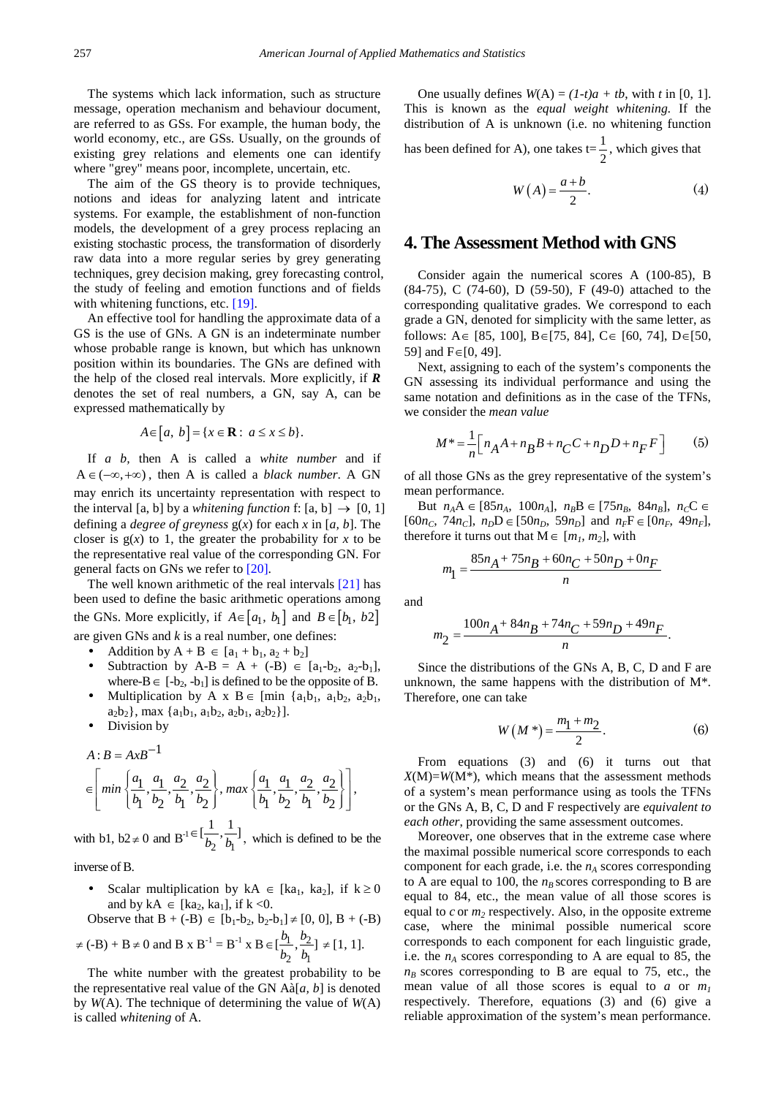The systems which lack information, such as structure message, operation mechanism and behaviour document, are referred to as GSs. For example, the human body, the world economy, etc., are GSs. Usually, on the grounds of existing grey relations and elements one can identify where "grey" means poor, incomplete, uncertain, etc.

The aim of the GS theory is to provide techniques, notions and ideas for analyzing latent and intricate systems. For example, the establishment of non-function models, the development of a grey process replacing an existing stochastic process, the transformation of disorderly raw data into a more regular series by grey generating techniques, grey decision making, grey forecasting control, the study of feeling and emotion functions and of fields with whitening functions, etc. [\[19\].](#page-7-18)

An effective tool for handling the approximate data of a GS is the use of GNs. A GN is an indeterminate number whose probable range is known, but which has unknown position within its boundaries. The GNs are defined with the help of the closed real intervals. More explicitly, if *R* denotes the set of real numbers, a GN, say A, can be expressed mathematically by

$$
A \in [a, b] = \{x \in \mathbf{R} : a \le x \le b\}.
$$

If *a b,* then A is called a *white number* and if  $A \in (-\infty, +\infty)$ , then A is called a *black number*. A GN may enrich its uncertainty representation with respect to the interval [a, b] by a *whitening function* f: [a, b]  $\rightarrow$  [0, 1] defining a *degree of greyness* g(*x*) for each *x* in [*a, b*]. The closer is  $g(x)$  to 1, the greater the probability for x to be the representative real value of the corresponding GN. For general facts on GNs we refer to [\[20\].](#page-7-19)

The well known arithmetic of the real intervals [\[21\]](#page-7-20) has been used to define the basic arithmetic operations among the GNs. More explicitly, if  $A \in [a_1, b_1]$  and  $B \in [b_1, b_2]$ are given GNs and *k* is a real number, one defines:

- Addition by  $A + B \in [a_1 + b_1, a_2 + b_2]$
- Subtraction by A-B = A + (-B)  $\in$  [a<sub>1</sub>-b<sub>2</sub>, a<sub>2</sub>-b<sub>1</sub>], where-B∈  $[-b_2, -b_1]$  is defined to be the opposite of B.
- Multiplication by A x B ∈ [min  $\{a_1b_1, a_1b_2, a_2b_1, a_2b_2, a_3b_3\}$  $a_2b_2$ , max  $\{a_1b_1, a_1b_2, a_2b_1, a_2b_2\}$ .
- Division by

$$
A : B = AxB^{-1}
$$
  
\n
$$
\in \left[ min \left\{ \frac{a_1}{b_1}, \frac{a_1}{b_2}, \frac{a_2}{b_1}, \frac{a_2}{b_2} \right\}, max \left\{ \frac{a_1}{b_1}, \frac{a_1}{b_2}, \frac{a_2}{b_1}, \frac{a_2}{b_2} \right\} \right]
$$

with b1, b2  $\neq$  0 and B<sup>-1  $\in$  l $\frac{1}{b_2}$ ,  $\frac{1}{b_1}$ </sup>  $\in [\frac{1}{b_2}, \frac{1}{b_1}]$ , which is defined to be the

inverse of B.

Scalar multiplication by  $kA \in [ka_1, ka_2]$ , if  $k \ge 0$ and by  $kA \in [ka_2, ka_1]$ , if  $k < 0$ .

Observe that 
$$
B + (-B) \in [b_1-b_2, b_2-b_1] \neq [0, 0], B + (-B)
$$

$$
\neq
$$
 (-B) + B  $\neq$  0 and B x B<sup>-1</sup> = B<sup>-1</sup> x B  $\in [\frac{b_1}{b_2}, \frac{b_2}{b_1}] \neq [1, 1].$ 

The white number with the greatest probability to be the representative real value of the GN Aà[*a, b*] is denoted by *W*(A). The technique of determining the value of *W*(A) is called *whitening* of A.

One usually defines  $W(A) = (1-t)a + tb$ , with t in [0, 1]. This is known as the *equal weight whitening.* If the distribution of A is unknown (i.e. no whitening function has been defined for A), one takes  $t = \frac{1}{2}$ , which gives that

 $W(A) = \frac{a+b}{2}$  (4)

# **4. The Assessment Method with GNS**

Consider again the numerical scores A (100-85), B (84-75), C (74-60), D (59-50), F (49-0) attached to the corresponding qualitative grades. We correspond to each grade a GN, denoted for simplicity with the same letter, as follows: A∈ [85, 100], B∈[75, 84], C∈ [60, 74], D∈[50, 59] and F∈[0, 49].

Next, assigning to each of the system's components the GN assessing its individual performance and using the same notation and definitions as in the case of the TFNs, we consider the *mean value*

$$
M^* = \frac{1}{n} \Big[ n_A A + n_B B + n_C C + n_D D + n_F F \Big] \tag{5}
$$

of all those GNs as the grey representative of the system's mean performance.

But *n<sub>A</sub>*A ∈ [85*n<sub>A</sub>*, 100*n<sub>A</sub>*], *n<sub>B</sub>*B ∈ [75*n<sub>B</sub>*, 84*n<sub>B</sub>*], *n<sub>C</sub>*C ∈  $[60n_c, 74n_c]$ ,  $n_D D \in [50n_D, 59n_D]$  and  $n_F F \in [0n_F, 49n_F]$ , therefore it turns out that  $M \in [m_1, m_2]$ , with

$$
m_1 = \frac{85n_A + 75n_B + 60n_C + 50n_D + 0n_F}{n}
$$

and

,

$$
m_2 = \frac{100n_A + 84n_B + 74n_C + 59n_D + 49n_F}{n}.
$$

Since the distributions of the GNs A, B, C, D and F are unknown, the same happens with the distribution of M\*. Therefore, one can take

$$
W(M^*) = \frac{m_1 + m_2}{2}.
$$
 (6)

From equations (3) and (6) it turns out that  $X(M)=W(M^*)$ , which means that the assessment methods of a system's mean performance using as tools the TFNs or the GNs A, B, C, D and F respectively are *equivalent to each other*, providing the same assessment outcomes.

Moreover, one observes that in the extreme case where the maximal possible numerical score corresponds to each component for each grade, i.e. the  $n_A$  scores corresponding to A are equal to 100, the  $n_B$  scores corresponding to B are equal to 84, etc., the mean value of all those scores is equal to  $c$  or  $m_2$  respectively. Also, in the opposite extreme case, where the minimal possible numerical score corresponds to each component for each linguistic grade, i.e. the  $n_A$  scores corresponding to A are equal to 85, the  $n<sub>B</sub>$  scores corresponding to B are equal to 75, etc., the mean value of all those scores is equal to  $a$  or  $m_1$ respectively. Therefore, equations (3) and (6) give a reliable approximation of the system's mean performance.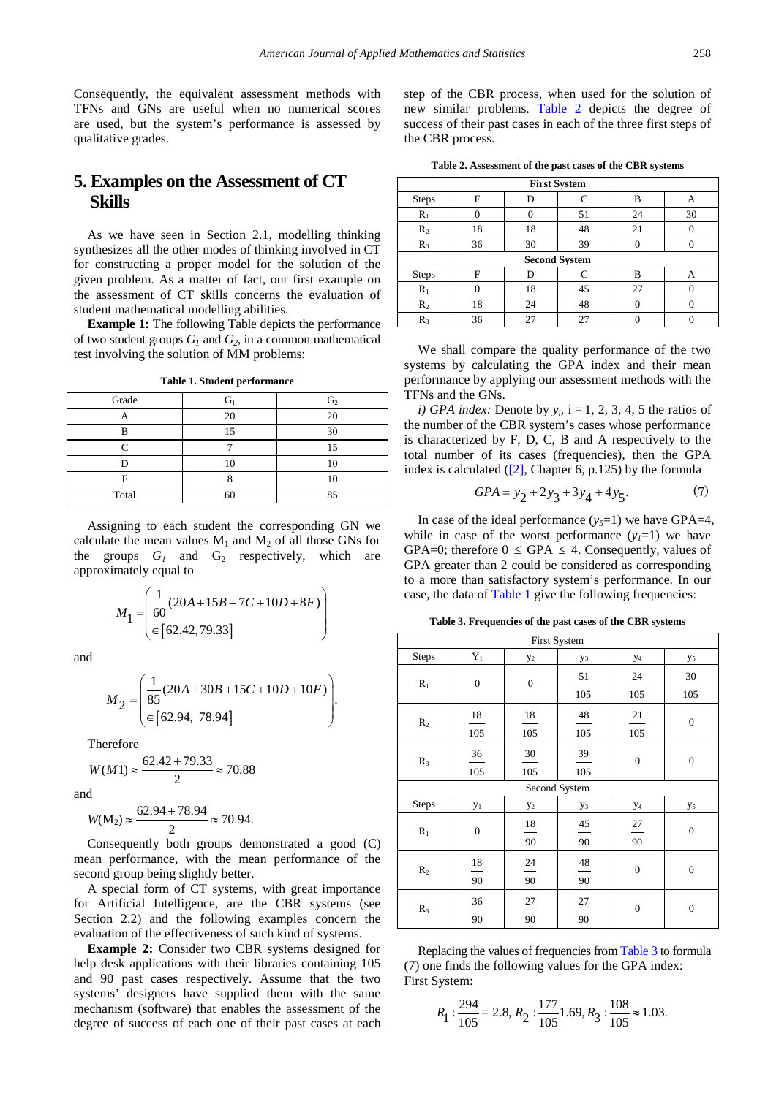Consequently, the equivalent assessment methods with TFNs and GNs are useful when no numerical scores are used, but the system's performance is assessed by qualitative grades.

# **5. Examples on the Assessment of CT Skills**

As we have seen in Section 2.1, modelling thinking synthesizes all the other modes of thinking involved in CT for constructing a proper model for the solution of the given problem. As a matter of fact, our first example on the assessment of CT skills concerns the evaluation of student mathematical modelling abilities.

**Example 1:** The following Table depicts the performance of two student groups  $G_1$  and  $G_2$ , in a common mathematical test involving the solution of MM problems:

<span id="page-5-1"></span>

|    | G <sub>2</sub> |
|----|----------------|
| 20 | 20             |
|    | 30             |
|    |                |
| 10 |                |
|    |                |
|    |                |

**Table 1. Student performance**

Assigning to each student the corresponding GN we calculate the mean values  $M_1$  and  $M_2$  of all those GNs for the groups  $G_1$  and  $G_2$  respectively, which are approximately equal to

Total 60 85

$$
M_1 = \left(\frac{1}{60}(20A + 15B + 7C + 10D + 8F)\right)
$$
  
\n
$$
\in [62.42, 79.33]
$$

and

$$
M_2 = \begin{pmatrix} \frac{1}{85} (20A + 30B + 15C + 10D + 10F) \\ \in [62.94, 78.94] \end{pmatrix}.
$$

Therefore

$$
W(M1) \approx \frac{62.42 + 79.33}{2} \approx 70.88
$$

and

$$
W(M_2) \approx \frac{62.94 + 78.94}{2} \approx 70.94.
$$

Consequently both groups demonstrated a good (C) mean performance, with the mean performance of the second group being slightly better.

A special form of CT systems, with great importance for Artificial Intelligence, are the CBR systems (see Section 2.2) and the following examples concern the evaluation of the effectiveness of such kind of systems.

**Example 2:** Consider two CBR systems designed for help desk applications with their libraries containing 105 and 90 past cases respectively. Assume that the two systems' designers have supplied them with the same mechanism (software) that enables the assessment of the degree of success of each one of their past cases at each step of the CBR process, when used for the solution of new similar problems. [Table 2](#page-5-0) depicts the degree of success of their past cases in each of the three first steps of the CBR process.

| Table 2. Assessment of the past cases of the CBR systems |  |  |  |  |  |  |
|----------------------------------------------------------|--|--|--|--|--|--|
|----------------------------------------------------------|--|--|--|--|--|--|

<span id="page-5-0"></span>

| <b>First System</b>  |    |    |           |    |    |
|----------------------|----|----|-----------|----|----|
| <b>Steps</b>         | F  |    | $\subset$ | в  | А  |
| $R_1$                |    |    | 51        | 24 | 30 |
| R <sub>2</sub>       | 18 | 18 | 48        | 21 |    |
| $R_3$                | 36 | 30 | 39        |    |    |
| <b>Second System</b> |    |    |           |    |    |
| <b>Steps</b>         | F  |    |           | в  | А  |
| $R_1$                |    | 18 | 45        | 27 |    |
| $R_2$                | 18 | 24 | 48        |    |    |
| R,                   | 36 | 27 |           |    |    |

We shall compare the quality performance of the two systems by calculating the GPA index and their mean performance by applying our assessment methods with the TFNs and the GNs.

*i)* GPA *index:* Denote by  $y_i$ ,  $i = 1, 2, 3, 4, 5$  the ratios of the number of the CBR system's cases whose performance is characterized by F, D, C, B and A respectively to the total number of its cases (frequencies), then the GPA index is calculated  $(2]$ , Chapter 6, p.125) by the formula

$$
GPA = y_2 + 2y_3 + 3y_4 + 4y_5. \tag{7}
$$

In case of the ideal performance  $(y_5=1)$  we have GPA=4, while in case of the worst performance  $(y_1=1)$  we have GPA=0; therefore  $0 \leq$  GPA  $\leq$  4. Consequently, values of GPA greater than 2 could be considered as corresponding to a more than satisfactory system's performance. In our case, the data of [Table 1](#page-5-1) give the following frequencies:

**Table 3. Frequencies of the past cases of the CBR systems**

<span id="page-5-2"></span>

| <b>First System</b> |                  |                  |                      |                      |                  |
|---------------------|------------------|------------------|----------------------|----------------------|------------------|
| <b>Steps</b>        | $Y_1$            | $y_2$            | У3                   | $y_4$                | $y_5$            |
| $R_1$               | $\boldsymbol{0}$ | $\boldsymbol{0}$ | $51\,$<br>105        | 24<br>105            | 30<br>105        |
| R <sub>2</sub>      | $18\,$<br>105    | $18\,$<br>105    | $\sqrt{48}$<br>105   | $21\,$<br>105        | $\mathbf{0}$     |
| $R_3$               | 36<br>105        | 30<br>105        | 39<br>105            | $\boldsymbol{0}$     | $\boldsymbol{0}$ |
|                     |                  |                  | Second System        |                      |                  |
| <b>Steps</b>        | $y_1$            | $y_2$            | У3                   | $y_4$                | $y_5$            |
| $R_1$               | $\boldsymbol{0}$ | $18\,$<br>90     | $\frac{45}{1}$<br>90 | $\frac{27}{1}$<br>90 | $\mathbf{0}$     |
| R <sub>2</sub>      | 18<br>90         | 24<br>90         | $\sqrt{48}$<br>90    | $\boldsymbol{0}$     | $\mathbf{0}$     |
| $R_3$               | 36<br>90         | 27<br>90         | 27<br>90             | $\boldsymbol{0}$     | $\mathbf{0}$     |

Replacing the values of frequencies fro[m Table 3](#page-5-2) to formula (7) one finds the following values for the GPA index: First System:

$$
R_1: \frac{294}{105} = 2.8, R_2: \frac{177}{105}1.69, R_3: \frac{108}{105} \approx 1.03.
$$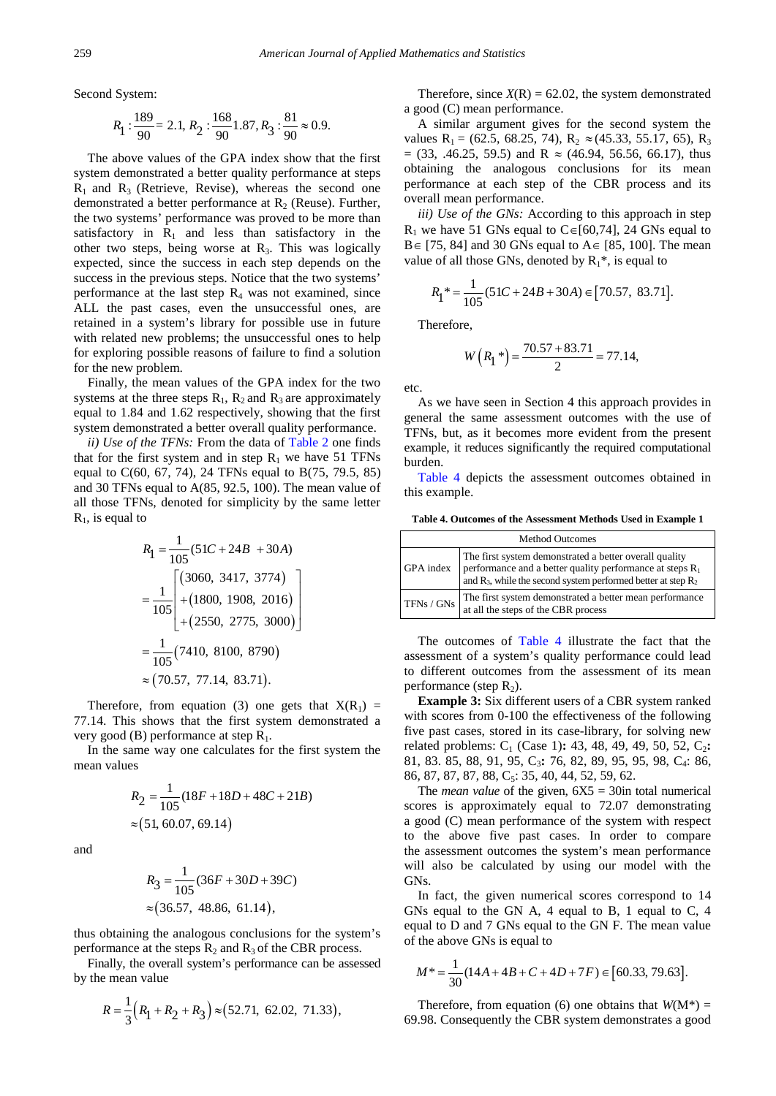Second System:

$$
R_1: \frac{189}{90} = 2.1, R_2: \frac{168}{90}1.87, R_3: \frac{81}{90} \approx 0.9.
$$

The above values of the GPA index show that the first system demonstrated a better quality performance at steps  $R_1$  and  $R_3$  (Retrieve, Revise), whereas the second one demonstrated a better performance at  $R_2$  (Reuse). Further, the two systems' performance was proved to be more than satisfactory in  $R_1$  and less than satisfactory in the other two steps, being worse at  $R_3$ . This was logically expected, since the success in each step depends on the success in the previous steps. Notice that the two systems' performance at the last step  $R_4$  was not examined, since ALL the past cases, even the unsuccessful ones, are retained in a system's library for possible use in future with related new problems; the unsuccessful ones to help for exploring possible reasons of failure to find a solution for the new problem.

Finally, the mean values of the GPA index for the two systems at the three steps  $R_1$ ,  $R_2$  and  $R_3$  are approximately equal to 1.84 and 1.62 respectively, showing that the first system demonstrated a better overall quality performance.

*ii) Use of the TFNs:* From the data of [Table 2](#page-5-0) one finds that for the first system and in step  $R_1$  we have 51 TFNs equal to C(60, 67, 74), 24 TFNs equal to B(75, 79.5, 85) and 30 TFNs equal to A(85, 92.5, 100). The mean value of all those TFNs, denoted for simplicity by the same letter  $R_1$ , is equal to

$$
R_1 = \frac{1}{105} (51C + 24B + 30A)
$$
  
= 
$$
\frac{1}{105} \begin{bmatrix} (3060, 3417, 3774) \\ +(1800, 1908, 2016) \\ +(2550, 2775, 3000) \end{bmatrix}
$$
  
= 
$$
\frac{1}{105} (7410, 8100, 8790)
$$
  
\approx (70.57, 77.14, 83.71).

Therefore, from equation (3) one gets that  $X(R_1)$  = 77.14. This shows that the first system demonstrated a very good (B) performance at step  $R_1$ .

In the same way one calculates for the first system the mean values

$$
R_2 = \frac{1}{105} (18F + 18D + 48C + 21B)
$$
  
\approx (51, 60.07, 69.14)

and

$$
R_3 = \frac{1}{105}(36F + 30D + 39C)
$$
  
\approx (36.57, 48.86, 61.14),

thus obtaining the analogous conclusions for the system's performance at the steps  $R_2$  and  $R_3$  of the CBR process.

Finally, the overall system's performance can be assessed by the mean value

$$
R = \frac{1}{3}(R_1 + R_2 + R_3) \approx (52.71, 62.02, 71.33),
$$

Therefore, since  $X(R) = 62.02$ , the system demonstrated a good (C) mean performance.

A similar argument gives for the second system the values R<sub>1</sub> = (62.5, 68.25, 74), R<sub>2</sub>  $\approx$  (45.33, 55.17, 65), R<sub>3</sub>  $=$  (33, .46.25, 59.5) and R  $\approx$  (46.94, 56.56, 66.17), thus obtaining the analogous conclusions for its mean performance at each step of the CBR process and its overall mean performance.

*iii) Use of the GNs:* According to this approach in step R<sub>1</sub> we have 51 GNs equal to C∈[60,74], 24 GNs equal to B∈ [75, 84] and 30 GNs equal to A∈ [85, 100]. The mean value of all those GNs, denoted by  $R_1^*$ , is equal to

$$
R_1^* = \frac{1}{105}(51C + 24B + 30A) \in [70.57, 83.71].
$$

Therefore,

$$
W\left(R_1^*\right) = \frac{70.57 + 83.71}{2} = 77.14,
$$

etc.

As we have seen in Section 4 this approach provides in general the same assessment outcomes with the use of TFNs, but, as it becomes more evident from the present example, it reduces significantly the required computational burden.

[Table 4](#page-6-0) depicts the assessment outcomes obtained in this example.

**Table 4. Outcomes of the Assessment Methods Used in Example 1**

<span id="page-6-0"></span>

| <b>Method Outcomes</b> |                                                                                                                                                                                             |  |  |
|------------------------|---------------------------------------------------------------------------------------------------------------------------------------------------------------------------------------------|--|--|
| GPA index              | The first system demonstrated a better overall quality<br>performance and a better quality performance at steps $R_1$<br>and $R_3$ , while the second system performed better at step $R_2$ |  |  |
| TFNs / GNs             | The first system demonstrated a better mean performance<br>at all the steps of the CBR process                                                                                              |  |  |

The outcomes of [Table 4](#page-6-0) illustrate the fact that the assessment of a system's quality performance could lead to different outcomes from the assessment of its mean performance (step  $R_2$ ).

**Example 3:** Six different users of a CBR system ranked with scores from 0-100 the effectiveness of the following five past cases, stored in its case-library, for solving new related problems: C<sub>1</sub> (Case 1): 43, 48, 49, 49, 50, 52, C<sub>2</sub>: 81, 83. 85, 88, 91, 95, C3**:** 76, 82, 89, 95, 95, 98, C4: 86, 86, 87, 87, 87, 88, C<sub>5</sub>: 35, 40, 44, 52, 59, 62.

The *mean value* of the given,  $6X5 = 30$ in total numerical scores is approximately equal to 72.07 demonstrating a good (C) mean performance of the system with respect to the above five past cases. In order to compare the assessment outcomes the system's mean performance will also be calculated by using our model with the GNs.

In fact, the given numerical scores correspond to 14 GNs equal to the GN A, 4 equal to B, 1 equal to C, 4 equal to D and 7 GNs equal to the GN F. The mean value of the above GNs is equal to

$$
M^* = \frac{1}{30}(14A + 4B + C + 4D + 7F) \in [60.33, 79.63].
$$

Therefore, from equation (6) one obtains that  $W(M^*)$  = 69.98. Consequently the CBR system demonstrates a good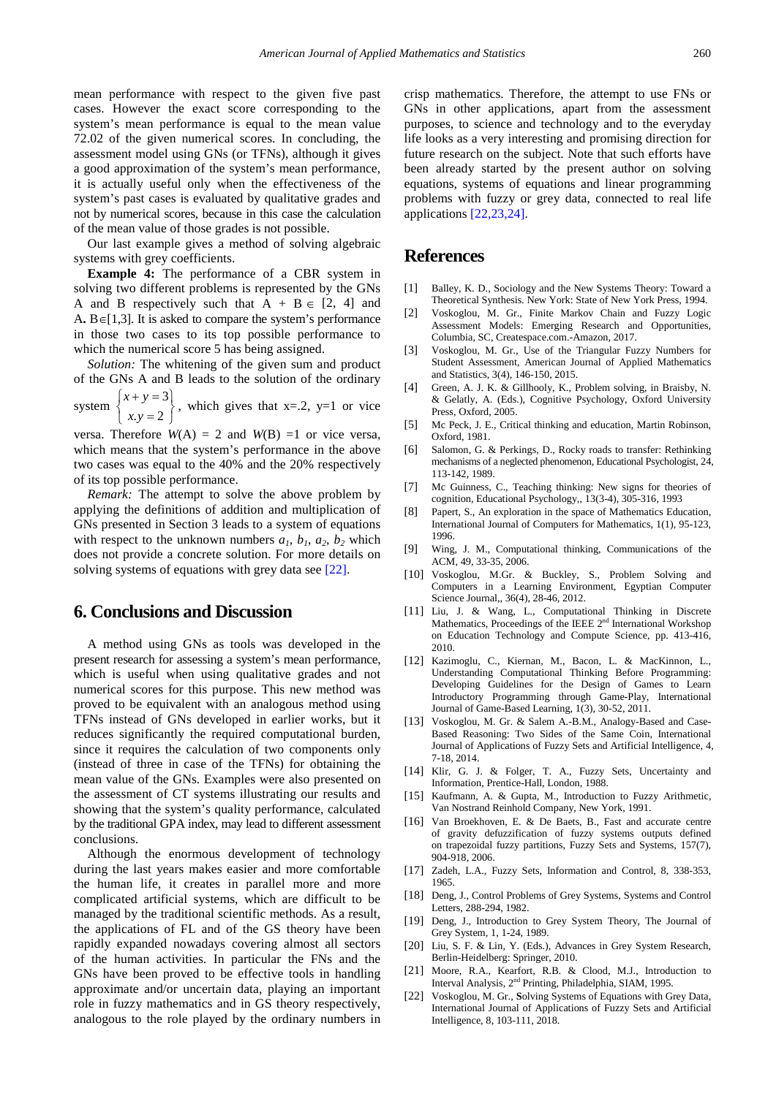mean performance with respect to the given five past cases. However the exact score corresponding to the system's mean performance is equal to the mean value 72.02 of the given numerical scores. In concluding, the assessment model using GNs (or TFNs), although it gives a good approximation of the system's mean performance, it is actually useful only when the effectiveness of the system's past cases is evaluated by qualitative grades and not by numerical scores, because in this case the calculation of the mean value of those grades is not possible.

Our last example gives a method of solving algebraic systems with grey coefficients.

**Example 4:** The performance of a CBR system in solving two different problems is represented by the GNs A and B respectively such that  $A + B \in [2, 4]$  and A**.** B∈[1,3]. It is asked to compare the system's performance in those two cases to its top possible performance to which the numerical score 5 has being assigned.

*Solution:* The whitening of the given sum and product of the GNs A and B leads to the solution of the ordinary system  $\begin{cases} x + y = 3 \\ 2 \end{cases}$  $x + y$ 

 $y = 2$  $\begin{cases} x+y=3 \\ x \cdot y=2 \end{cases}$ , which gives that x=.2, y=1 or vice

versa. Therefore  $W(A) = 2$  and  $W(B) = 1$  or vice versa, which means that the system's performance in the above two cases was equal to the 40% and the 20% respectively of its top possible performance.

*Remark:* The attempt to solve the above problem by applying the definitions of addition and multiplication of GNs presented in Section 3 leads to a system of equations with respect to the unknown numbers  $a_1$ ,  $b_1$ ,  $a_2$ ,  $b_2$  which does not provide a concrete solution. For more details on solving systems of equations with grey data see [\[22\].](#page-7-21)

## **6. Conclusions and Discussion**

A method using GNs as tools was developed in the present research for assessing a system's mean performance, which is useful when using qualitative grades and not numerical scores for this purpose. This new method was proved to be equivalent with an analogous method using TFNs instead of GNs developed in earlier works, but it reduces significantly the required computational burden, since it requires the calculation of two components only (instead of three in case of the TFNs) for obtaining the mean value of the GNs. Examples were also presented on the assessment of CT systems illustrating our results and showing that the system's quality performance, calculated by the traditional GPA index, may lead to different assessment conclusions.

Although the enormous development of technology during the last years makes easier and more comfortable the human life, it creates in parallel more and more complicated artificial systems, which are difficult to be managed by the traditional scientific methods. As a result, the applications of FL and of the GS theory have been rapidly expanded nowadays covering almost all sectors of the human activities. In particular the FNs and the GNs have been proved to be effective tools in handling approximate and/or uncertain data, playing an important role in fuzzy mathematics and in GS theory respectively, analogous to the role played by the ordinary numbers in crisp mathematics. Therefore, the attempt to use FNs or GNs in other applications, apart from the assessment purposes, to science and technology and to the everyday life looks as a very interesting and promising direction for future research on the subject. Note that such efforts have been already started by the present author on solving equations, systems of equations and linear programming problems with fuzzy or grey data, connected to real life applications [\[22,23,24\].](#page-7-21)

## **References**

- <span id="page-7-0"></span>[1] Balley, K. D., Sociology and the New Systems Theory: Toward a Theoretical Synthesis. New York: State of New York Press, 1994.
- <span id="page-7-1"></span>[2] Voskoglou, M. Gr., Finite Markov Chain and Fuzzy Logic Assessment Models: Emerging Research and Opportunities, Columbia, SC, Createspace.com.-Amazon, 2017.
- <span id="page-7-2"></span>[3] Voskoglou, M. Gr., Use of the Triangular Fuzzy Numbers for Student Assessment, American Journal of Applied Mathematics and Statistics, 3(4), 146-150, 2015.
- <span id="page-7-3"></span>[4] Green, A. J. K. & Gillhooly, K., Problem solving, in Braisby, N. & Gelatly, A. (Eds.), Cognitive Psychology, Oxford University Press, Oxford, 2005.
- <span id="page-7-4"></span>[5] Mc Peck, J. E., Critical thinking and education, Martin Robinson, Oxford, 1981.
- <span id="page-7-5"></span>[6] Salomon, G. & Perkings, D., Rocky roads to transfer: Rethinking mechanisms of a neglected phenomenon, Educational Psychologist, 24, 113-142, 1989.
- <span id="page-7-6"></span>[7] Mc Guinness, C., Teaching thinking: New signs for theories of cognition, Educational Psychology,, 13(3-4), 305-316, 1993
- <span id="page-7-7"></span>[8] Papert, S., An exploration in the space of Mathematics Education, International Journal of Computers for Mathematics, 1(1), 95-123, 1996.
- <span id="page-7-8"></span>[9] Wing, J. M., Computational thinking, Communications of the ACM, 49, 33-35, 2006.
- <span id="page-7-9"></span>[10] Voskoglou, M.Gr. & Buckley, S., Problem Solving and Computers in a Learning Environment, Egyptian Computer Science Journal,, 36(4), 28-46, 2012.
- <span id="page-7-10"></span>[11] Liu, J. & Wang, L., Computational Thinking in Discrete Mathematics, Proceedings of the IEEE 2<sup>nd</sup> International Workshop on Education Technology and Compute Science, pp. 413-416, 2010.
- <span id="page-7-11"></span>[12] Kazimoglu, C., Kiernan, M., Bacon, L. & MacKinnon, L., Understanding Computational Thinking Before Programming: Developing Guidelines for the Design of Games to Learn Introductory Programming through Game-Play, International Journal of Game-Based Learning, 1(3), 30-52, 2011.
- <span id="page-7-12"></span>[13] Voskoglou, M. Gr. & Salem A.-B.M., Analogy-Based and Case-Based Reasoning: Two Sides of the Same Coin, International Journal of Applications of Fuzzy Sets and Artificial Intelligence, 4, 7-18, 2014.
- <span id="page-7-13"></span>[14] Klir, G. J. & Folger, T. A., Fuzzy Sets, Uncertainty and Information, Prentice-Hall, London, 1988.
- <span id="page-7-14"></span>[15] Kaufmann, A. & Gupta, M., Introduction to Fuzzy Arithmetic, Van Nostrand Reinhold Company, New York, 1991.
- <span id="page-7-15"></span>[16] Van Broekhoven, E. & De Baets, B., Fast and accurate centre of gravity defuzzification of fuzzy systems outputs defined on trapezoidal fuzzy partitions, Fuzzy Sets and Systems, 157(7), 904-918, 2006.
- <span id="page-7-16"></span>[17] Zadeh, L.A., Fuzzy Sets, Information and Control, 8, 338-353, 1965.
- <span id="page-7-17"></span>[18] Deng, J., Control Problems of Grey Systems, Systems and Control Letters, 288-294, 1982.
- <span id="page-7-18"></span>[19] Deng, J., Introduction to Grey System Theory, The Journal of Grey System, 1, 1-24, 1989.
- <span id="page-7-19"></span>[20] Liu, S. F. & Lin, Y. (Eds.), Advances in Grey System Research, Berlin-Heidelberg: Springer, 2010.
- <span id="page-7-20"></span>[21] Moore, R.A., Kearfort, R.B. & Clood, M.J., Introduction to Interval Analysis, 2nd Printing, Philadelphia, SIAM, 1995.
- <span id="page-7-21"></span>[22] Voskoglou, M. Gr., **S**olving Systems of Equations with Grey Data, International Journal of Applications of Fuzzy Sets and Artificial Intelligence, 8, 103-111, 2018.